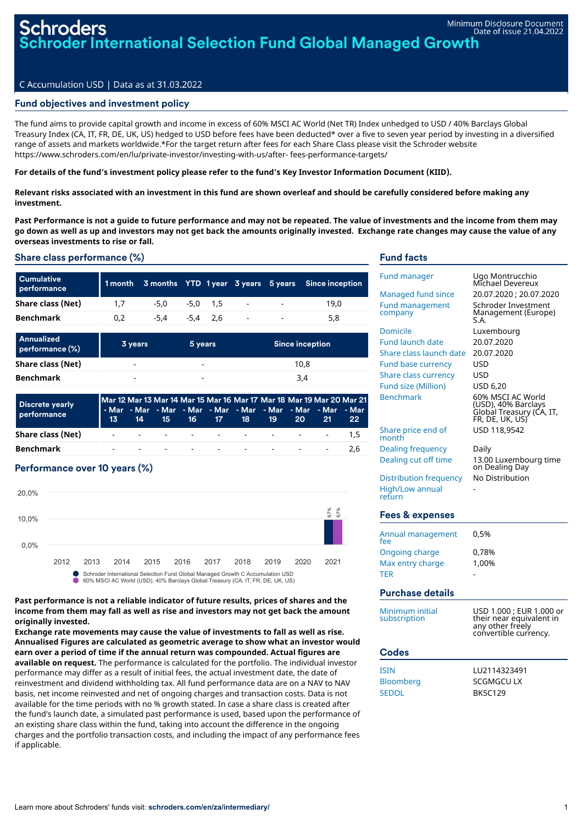# C Accumulation USD | Data as at 31.03.2022

## Fund objectives and investment policy

The fund aims to provide capital growth and income in excess of 60% MSCI AC World (Net TR) Index unhedged to USD / 40% Barclays Global Treasury Index (CA, IT, FR, DE, UK, US) hedged to USD before fees have been deducted\* over a five to seven year period by investing in a diversified range of assets and markets worldwide.\*For the target return after fees for each Share Class please visit the Schroder website https://www.schroders.com/en/lu/private-investor/investing-with-us/after- fees-performance-targets/

### For details of the fund's investment policy please refer to the fund's Key Investor Information Document (KIID).

### Relevant risks associated with an investment in this fund are shown overleaf and should be carefully considered before making any **investment.**

Past Performance is not a guide to future performance and may not be repeated. The value of investments and the income from them may go down as well as up and investors may not get back the amounts originally invested. Exchange rate changes may cause the value of any **overseas investments to rise or fall.**

### Share class performance (%)

| <b>Cumulative</b><br>performance |     |        |          |            |        |                          | 1 month 3 months YTD 1 year 3 years 5 years Since inception |
|----------------------------------|-----|--------|----------|------------|--------|--------------------------|-------------------------------------------------------------|
| Share class (Net)                | 17  | -5.0   |          | $-5.0$ 1.5 | $\sim$ | $\sim$ 100 $\mu$         | 19.0                                                        |
| <b>Benchmark</b>                 | 0.2 | $-5.4$ | -5.4 2.6 |            | $\sim$ | $\overline{\phantom{a}}$ | 5,8                                                         |

| Annualized<br>performance (%) | 3 years | 5 years | <b>Since inception</b> |
|-------------------------------|---------|---------|------------------------|
| Share class (Net)             | -       | -       | 10.8                   |
| <b>Benchmark</b>              | ۰       | -       | 3.4                    |

| <b>Discrete yearly</b><br>performance | Mar 12 Mar 13 Mar 14 Mar 15 Mar 16 Mar 17 Mar 18 Mar 19 Mar 20 Mar 21<br>1 - Mar - Mar - Mar - Mar - Mar - Mar - Mar - Mar - Mar - Mar <sub>1</sub> |  |  |  | 13 14 15 16 17 18 19 20 21 22 |  |
|---------------------------------------|-----------------------------------------------------------------------------------------------------------------------------------------------------|--|--|--|-------------------------------|--|
| Share class (Net)                     |                                                                                                                                                     |  |  |  | <u>. 1.5</u>                  |  |
| Benchmark                             |                                                                                                                                                     |  |  |  |                               |  |

## Performance over 10 years (%)



### **Past performance is not a reliable indicator of future results, prices of shares and the income from them may fall as well as rise and investors may not get back the amount originally invested.**

**Exchange rate movements may cause the value of investments to fall as well as rise. Annualised Figures are calculated as geometric average to show what an investor would earn over a period of time if the annual return was compounded. Actual figures are available on request.** The performance is calculated for the portfolio. The individual investor performance may differ as a result of initial fees, the actual investment date, the date of reinvestment and dividend withholding tax. All fund performance data are on a NAV to NAV basis, net income reinvested and net of ongoing charges and transaction costs. Data is not available for the time periods with no % growth stated. In case a share class is created after the fund's launch date, a simulated past performance is used, based upon the performance of an existing share class within the fund, taking into account the difference in the ongoing charges and the portfolio transaction costs, and including the impact of any performance fees if applicable.

## Fund facts

| <b>Fund manager</b><br><b>Managed fund since</b><br><b>Fund management</b><br>company<br>Domicile<br><b>Fund launch date</b><br>Share class launch date<br><b>Fund base currency</b><br><b>Share class currency</b><br><b>Fund size (Million)</b><br><b>Benchmark</b><br>Share price end of<br>month | Ugo Montrucchio<br>Michael Devereux<br>20.07.2020 ; 20.07.2020<br>Schroder Investment<br>Management (Europe)<br>S.A.<br>Luxembourg<br>20.07.2020<br>20.07.2020<br>USD<br>USD<br>USD 6,20<br>60% MSCI AC World<br>(USD), 40% Barclays<br>Globál Treasury (CA, IT,<br>FR, DE, UK, US)<br>USD 118.9542 |
|------------------------------------------------------------------------------------------------------------------------------------------------------------------------------------------------------------------------------------------------------------------------------------------------------|-----------------------------------------------------------------------------------------------------------------------------------------------------------------------------------------------------------------------------------------------------------------------------------------------------|
| <b>Dealing frequency</b><br>Dealing cut off time<br><b>Distribution frequency</b><br><b>High/Low annual</b><br>return<br><b>Fees &amp; expenses</b>                                                                                                                                                  | Daily<br>13.00 Luxembourg time<br>on Dealing Day<br>No Distribution                                                                                                                                                                                                                                 |
| Annual management<br>fee                                                                                                                                                                                                                                                                             | 0,5%                                                                                                                                                                                                                                                                                                |
| <b>Ongoing charge</b><br>Max entry charge<br><b>TFR</b>                                                                                                                                                                                                                                              | 0,78%<br>1.00%                                                                                                                                                                                                                                                                                      |
| <b>Purchase details</b>                                                                                                                                                                                                                                                                              |                                                                                                                                                                                                                                                                                                     |
| Minimum initial<br>subscription                                                                                                                                                                                                                                                                      | USD 1.000 ; EUR 1.000 or<br>their near equivalent in<br>any other freely<br>convertible currency.                                                                                                                                                                                                   |
| <b>Codes</b>                                                                                                                                                                                                                                                                                         |                                                                                                                                                                                                                                                                                                     |
| <b>ISIN</b><br><b>Bloomberg</b><br><b>SEDOL</b>                                                                                                                                                                                                                                                      | LU2114323491<br>SCGMGCU LX<br><b>BK5C129</b>                                                                                                                                                                                                                                                        |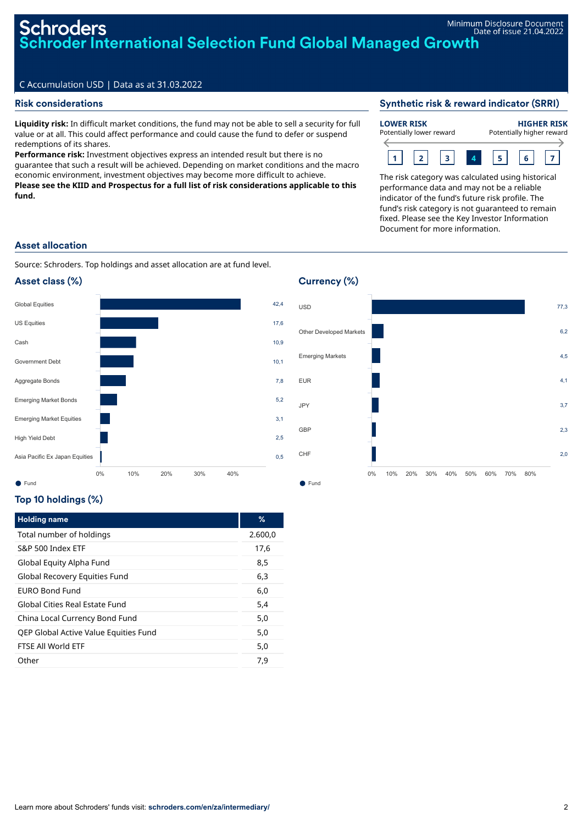## Risk considerations

**Liquidity risk:** In difficult market conditions, the fund may not be able to sell a security for full value or at all. This could affect performance and could cause the fund to defer or suspend redemptions of its shares.

**Performance risk:** Investment objectives express an intended result but there is no guarantee that such a result will be achieved. Depending on market conditions and the macro economic environment, investment objectives may become more difficult to achieve. **Please see the KIID and Prospectus for a full list of risk considerations applicable to this fund.**

### Synthetic risk & reward indicator (SRRI)

### **LOWER RISK** Potentially lower reward **HIGHER RISK** Potentially higher reward



The risk category was calculated using historical performance data and may not be a reliable indicator of the fund's future risk profile. The fund's risk category is not guaranteed to remain fixed. Please see the Key Investor Information Document for more information.

### Asset allocation

Source: Schroders. Top holdings and asset allocation are at fund level.





## Top 10 holdings (%)

| <b>Holding name</b>                   | %       |
|---------------------------------------|---------|
| Total number of holdings              | 2.600,0 |
| S&P 500 Index ETF                     | 17.6    |
| Global Equity Alpha Fund              | 8,5     |
| Global Recovery Equities Fund         | 6,3     |
| FURO Bond Fund                        | 6,0     |
| Global Cities Real Estate Fund        | 5,4     |
| China Local Currency Bond Fund        | 5,0     |
| QEP Global Active Value Equities Fund | 5,0     |
| FTSF All World FTF                    | 5,0     |
| Other                                 | 7.9     |